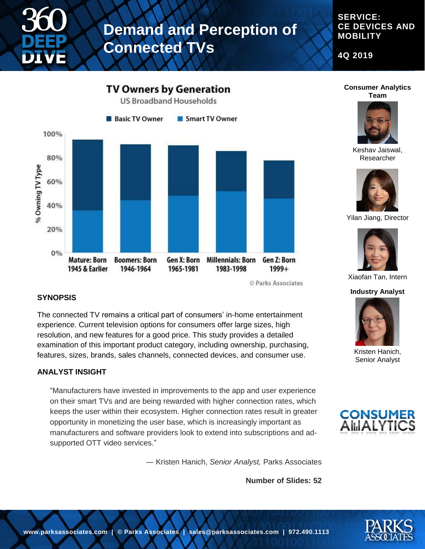

# **Demand and Perception of Connected TVs**

#### **SERVICE: CE DEVICES AND MOBILITY**

**4Q 2019**



© Parks Associates

#### **SYNOPSIS**

The connected TV remains a critical part of consumers' in-home entertainment experience. Current television options for consumers offer large sizes, high resolution, and new features for a good price. This study provides a detailed examination of this important product category, including ownership, purchasing, features, sizes, brands, sales channels, connected devices, and consumer use.

#### **ANALYST INSIGHT**

"Manufacturers have invested in improvements to the app and user experience on their smart TVs and are being rewarded with higher connection rates, which keeps the user within their ecosystem. Higher connection rates result in greater opportunity in monetizing the user base, which is increasingly important as manufacturers and software providers look to extend into subscriptions and adsupported OTT video services."

― Kristen Hanich, *Senior Analyst,* Parks Associates

**Number of Slides: 52**





Keshav Jaiswal, Researcher



Yilan Jiang, Director



Xiaofan Tan, Intern

#### **Industry Analyst**



Kristen Hanich, Senior Analyst



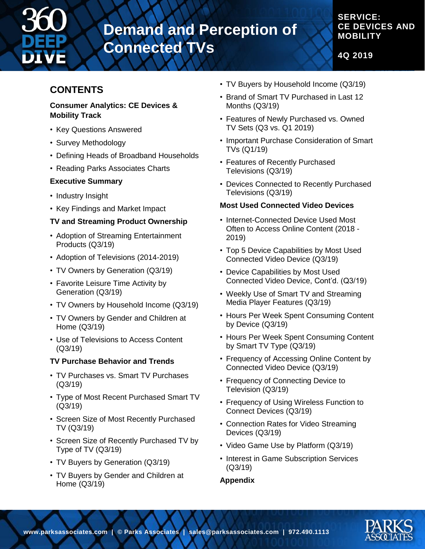

# **Demand and Perception of Connected TVs**

### **SERVICE: CE DEVICES AND MOBILITY**

**4Q 2019**

### **CONTENTS**

#### **Consumer Analytics: CE Devices & Mobility Track**

- Key Questions Answered
- Survey Methodology
- Defining Heads of Broadband Households
- Reading Parks Associates Charts

#### **Executive Summary**

- Industry Insight
- Key Findings and Market Impact

#### **TV and Streaming Product Ownership**

- Adoption of Streaming Entertainment Products (Q3/19)
- Adoption of Televisions (2014-2019)
- TV Owners by Generation (Q3/19)
- Favorite Leisure Time Activity by Generation (Q3/19)
- TV Owners by Household Income (Q3/19)
- TV Owners by Gender and Children at Home (Q3/19)
- Use of Televisions to Access Content (Q3/19)

#### **TV Purchase Behavior and Trends**

- TV Purchases vs. Smart TV Purchases (Q3/19)
- Type of Most Recent Purchased Smart TV (Q3/19)
- Screen Size of Most Recently Purchased TV (Q3/19)
- Screen Size of Recently Purchased TV by Type of TV (Q3/19)
- TV Buyers by Generation (Q3/19)
- TV Buyers by Gender and Children at Home (Q3/19)
- TV Buyers by Household Income (Q3/19)
- Brand of Smart TV Purchased in Last 12 Months (Q3/19)
- Features of Newly Purchased vs. Owned TV Sets (Q3 vs. Q1 2019)
- Important Purchase Consideration of Smart TVs (Q1/19)
- Features of Recently Purchased Televisions (Q3/19)
- Devices Connected to Recently Purchased Televisions (Q3/19)

#### **Most Used Connected Video Devices**

- Internet-Connected Device Used Most Often to Access Online Content (2018 - 2019)
- Top 5 Device Capabilities by Most Used Connected Video Device (Q3/19)
- Device Capabilities by Most Used Connected Video Device, Cont'd. (Q3/19)
- Weekly Use of Smart TV and Streaming Media Player Features (Q3/19)
- Hours Per Week Spent Consuming Content by Device (Q3/19)
- Hours Per Week Spent Consuming Content by Smart TV Type (Q3/19)
- Frequency of Accessing Online Content by Connected Video Device (Q3/19)
- Frequency of Connecting Device to Television (Q3/19)
- Frequency of Using Wireless Function to Connect Devices (Q3/19)
- Connection Rates for Video Streaming Devices (Q3/19)
- Video Game Use by Platform (Q3/19)
- Interest in Game Subscription Services (Q3/19)

#### **Appendix**